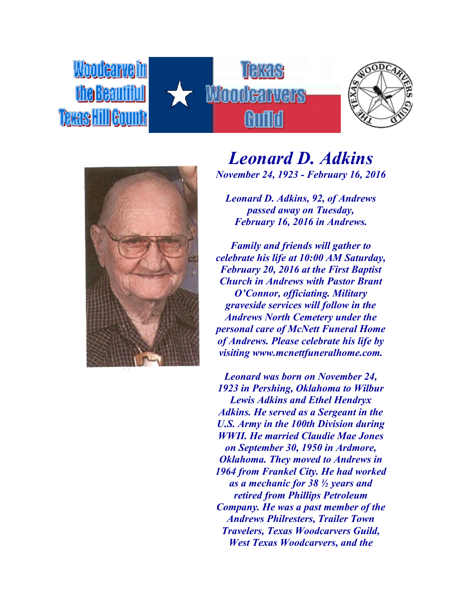





## *Leonard D. Adkins November 24, 1923 - February 16, 2016*

*Leonard D. Adkins, 92, of Andrews passed away on Tuesday, February 16, 2016 in Andrews.*

*Family and friends will gather to celebrate his life at 10:00 AM Saturday, February 20, 2016 at the First Baptist Church in Andrews with Pastor Brant O'Connor, officiating. Military graveside services will follow in the Andrews North Cemetery under the personal care of McNett Funeral Home of Andrews. Please celebrate his life by visiting www.mcnettfuneralhome.com.*

*Leonard was born on November 24, 1923 in Pershing, Oklahoma to Wilbur Lewis Adkins and Ethel Hendryx Adkins. He served as a Sergeant in the U.S. Army in the 100th Division during WWII. He married Claudie Mae Jones on September 30, 1950 in Ardmore, Oklahoma. They moved to Andrews in 1964 from Frankel City. He had worked as a mechanic for 38 ½ years and retired from Phillips Petroleum Company. He was a past member of the Andrews Philresters, Trailer Town Travelers, Texas Woodcarvers Guild, West Texas Woodcarvers, and the*